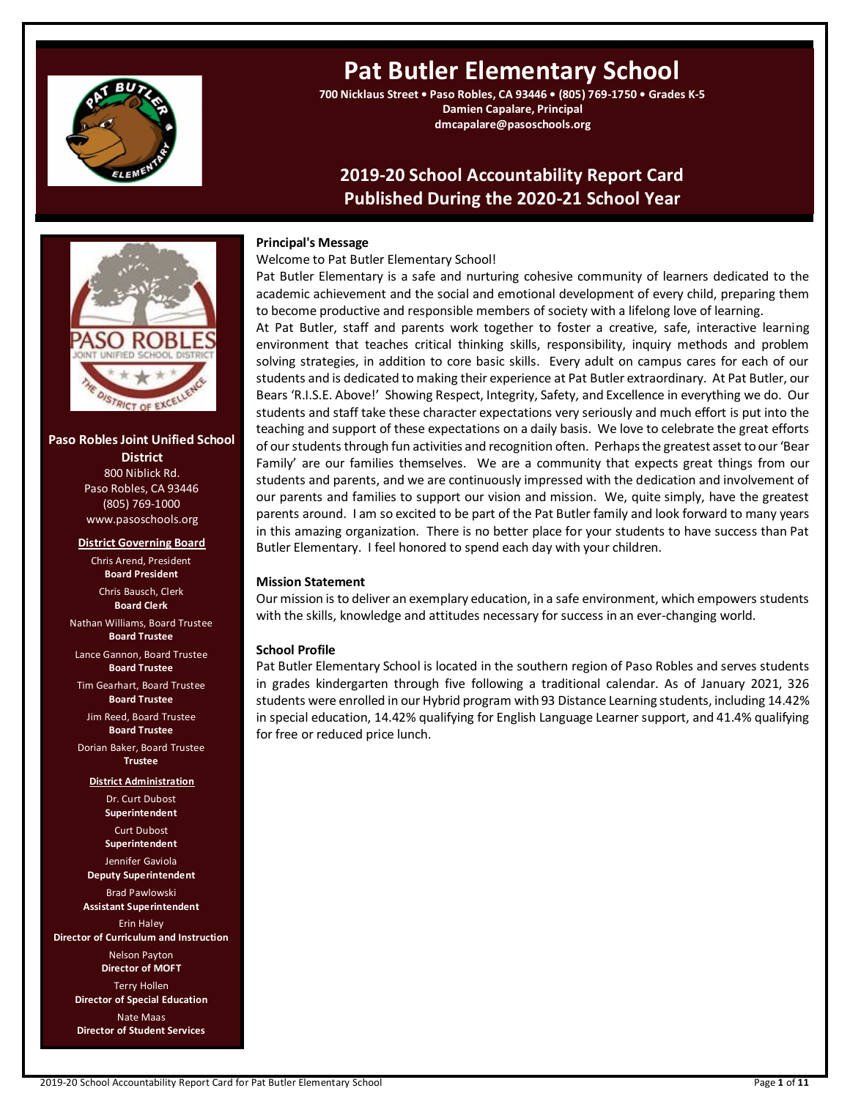

# **Pat Butler Elementary School**

**700 Nicklaus Street • Paso Robles, CA 93446 • (805) 769-1750 • Grades K-5 Damien Capalare, Principal dmcapalare@pasoschools.org**

# **2019-20 School Accountability Report Card Published During the 2020-21 School Year**



**Paso Robles Joint Unified School District** 800 Niblick Rd. Paso Robles, CA 93446 (805) 769-1000 www.pasoschools.org

### **District Governing Board**

Chris Arend, President **Board President** Chris Bausch, Clerk **Board Clerk** Nathan Williams, Board Trustee **Board Trustee** Lance Gannon, Board Trustee **Board Trustee** Tim Gearhart, Board Trustee **Board Trustee** Jim Reed, Board Trustee **Board Trustee** Dorian Baker, Board Trustee **Trustee District Administration** Dr. Curt Dubost **Superintendent** Curt Dubost **Superintendent** Jennifer Gaviola **Deputy Superintendent** Brad Pawlowski **Assistant Superintendent** Erin Haley **Director of Curriculum and Instruction** Nelson Payton **Director of MOFT** Terry Hollen **Director of Special Education** Nate Maas **Director of Student Services**

### **Principal's Message**

Welcome to Pat Butler Elementary School!

Pat Butler Elementary is a safe and nurturing cohesive community of learners dedicated to the academic achievement and the social and emotional development of every child, preparing them to become productive and responsible members of society with a lifelong love of learning.

At Pat Butler, staff and parents work together to foster a creative, safe, interactive learning environment that teaches critical thinking skills, responsibility, inquiry methods and problem solving strategies, in addition to core basic skills. Every adult on campus cares for each of our students and is dedicated to making their experience at Pat Butler extraordinary. At Pat Butler, our Bears 'R.I.S.E. Above!' Showing Respect, Integrity, Safety, and Excellence in everything we do. Our students and staff take these character expectations very seriously and much effort is put into the teaching and support of these expectations on a daily basis. We love to celebrate the great efforts of our students through fun activities and recognition often. Perhaps the greatest asset to our 'Bear Family' are our families themselves. We are a community that expects great things from our students and parents, and we are continuously impressed with the dedication and involvement of our parents and families to support our vision and mission. We, quite simply, have the greatest parents around. I am so excited to be part of the Pat Butler family and look forward to many years in this amazing organization. There is no better place for your students to have success than Pat Butler Elementary. I feel honored to spend each day with your children.

### **Mission Statement**

Our mission is to deliver an exemplary education, in a safe environment, which empowers students with the skills, knowledge and attitudes necessary for success in an ever-changing world.

### **School Profile**

Pat Butler Elementary School is located in the southern region of Paso Robles and serves students in grades kindergarten through five following a traditional calendar. As of January 2021, 326 students were enrolled in our Hybrid program with 93 Distance Learning students, including 14.42% in special education, 14.42% qualifying for English Language Learner support, and 41.4% qualifying for free or reduced price lunch.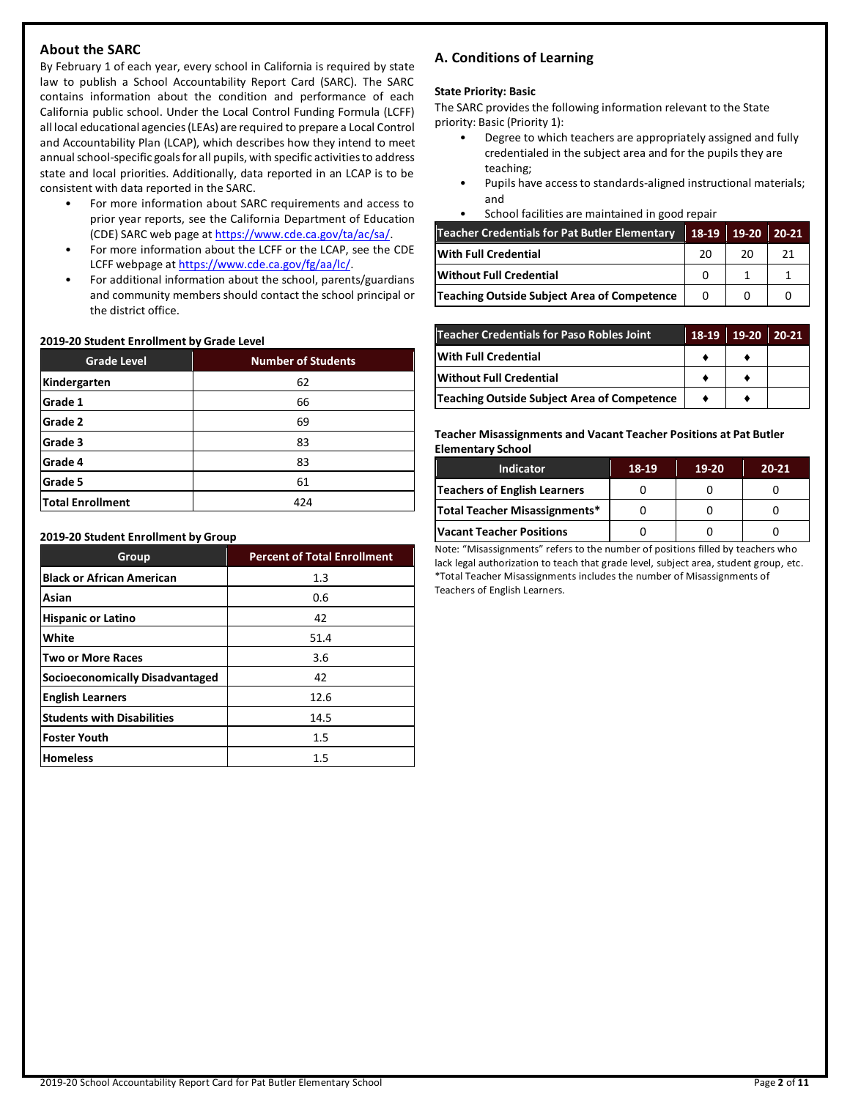# **About the SARC**

By February 1 of each year, every school in California is required by state law to publish a School Accountability Report Card (SARC). The SARC contains information about the condition and performance of each California public school. Under the Local Control Funding Formula (LCFF) all local educational agencies (LEAs) are required to prepare a Local Control and Accountability Plan (LCAP), which describes how they intend to meet annual school-specific goals for all pupils, with specific activities to address state and local priorities. Additionally, data reported in an LCAP is to be consistent with data reported in the SARC.

- For more information about SARC requirements and access to prior year reports, see the California Department of Education (CDE) SARC web page at [https://www.cde.ca.gov/ta/ac/sa/.](https://www.cde.ca.gov/ta/ac/sa/)
- For more information about the LCFF or the LCAP, see the CDE LCFF webpage a[t https://www.cde.ca.gov/fg/aa/lc/.](https://www.cde.ca.gov/fg/aa/lc/)
- For additional information about the school, parents/guardians and community members should contact the school principal or the district office.

### **2019-20 Student Enrollment by Grade Level**

| <b>Grade Level</b>      | <b>Number of Students</b> |
|-------------------------|---------------------------|
| Kindergarten            | 62                        |
| Grade 1                 | 66                        |
| Grade 2                 | 69                        |
| Grade 3                 | 83                        |
| Grade 4                 | 83                        |
| Grade 5                 | 61                        |
| <b>Total Enrollment</b> | 424                       |

### **2019-20 Student Enrollment by Group**

| Group                             | <b>Percent of Total Enrollment</b> |
|-----------------------------------|------------------------------------|
| <b>Black or African American</b>  | 1.3                                |
| Asian                             | 0.6                                |
| <b>Hispanic or Latino</b>         | 42                                 |
| White                             | 51.4                               |
| <b>Two or More Races</b>          | 3.6                                |
| Socioeconomically Disadvantaged   | 42                                 |
| <b>English Learners</b>           | 12.6                               |
| <b>Students with Disabilities</b> | 14.5                               |
| <b>Foster Youth</b>               | 1.5                                |
| <b>Homeless</b>                   | $1.5\,$                            |

# **A. Conditions of Learning**

### **State Priority: Basic**

The SARC provides the following information relevant to the State priority: Basic (Priority 1):

- Degree to which teachers are appropriately assigned and fully credentialed in the subject area and for the pupils they are teaching;
- Pupils have access to standards-aligned instructional materials; and
- School facilities are maintained in good repair

| Teacher Credentials for Pat Butler Elementary | 18-19    | 19-20 | 20-21 |
|-----------------------------------------------|----------|-------|-------|
| With Full Credential                          | 20       | 20    | 21    |
| Without Full Credential                       |          |       |       |
| Teaching Outside Subject Area of Competence   | $\Omega$ |       |       |

| <b>Teacher Credentials for Paso Robles Joint</b> | 18-19 | $19-20$ | $20-21$ |
|--------------------------------------------------|-------|---------|---------|
| With Full Credential                             |       |         |         |
| Without Full Credential                          |       |         |         |
| Teaching Outside Subject Area of Competence      |       |         |         |

**Teacher Misassignments and Vacant Teacher Positions at Pat Butler Elementary School**

| <b>Indicator</b>              | 18-19 | $19-20$ | $20 - 21$ |
|-------------------------------|-------|---------|-----------|
| Teachers of English Learners  |       |         |           |
| Total Teacher Misassignments* |       |         |           |
| Vacant Teacher Positions      |       |         |           |

Note: "Misassignments" refers to the number of positions filled by teachers who lack legal authorization to teach that grade level, subject area, student group, etc. \*Total Teacher Misassignments includes the number of Misassignments of Teachers of English Learners.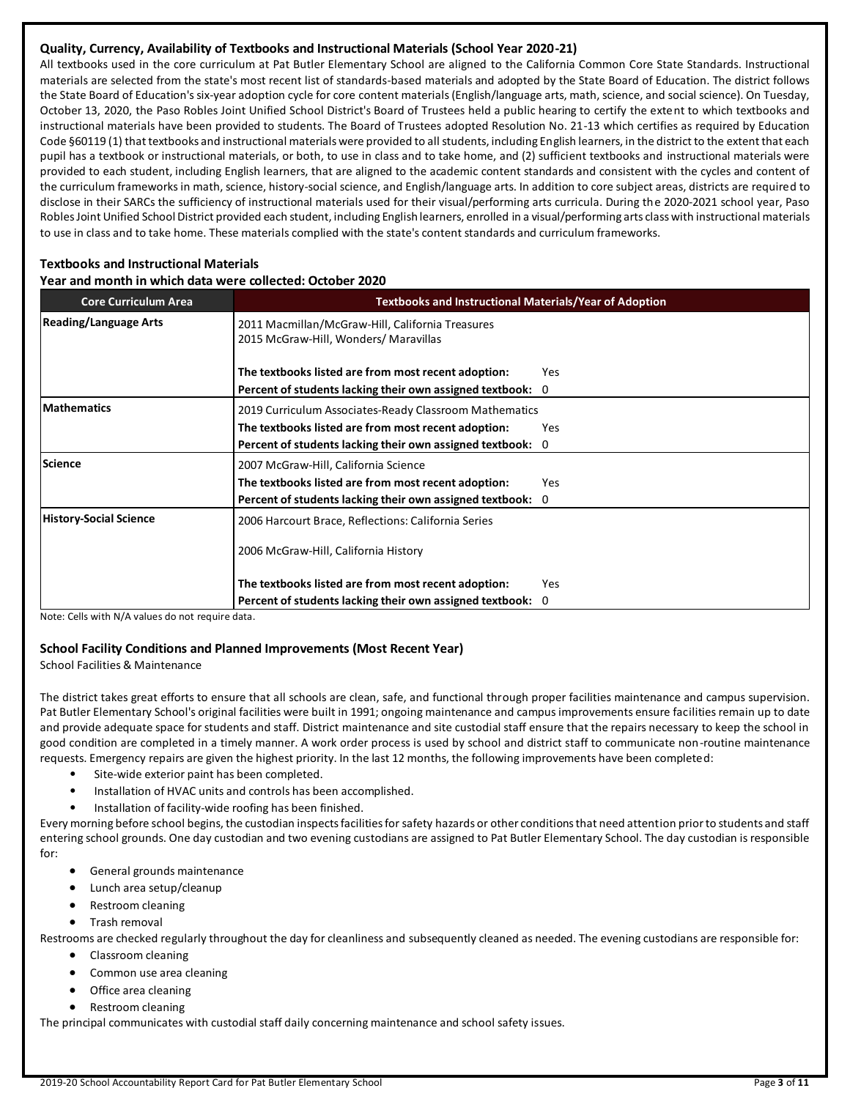# **Quality, Currency, Availability of Textbooks and Instructional Materials (School Year 2020-21)**

All textbooks used in the core curriculum at Pat Butler Elementary School are aligned to the California Common Core State Standards. Instructional materials are selected from the state's most recent list of standards-based materials and adopted by the State Board of Education. The district follows the State Board of Education's six-year adoption cycle for core content materials (English/language arts, math, science, and social science). On Tuesday, October 13, 2020, the Paso Robles Joint Unified School District's Board of Trustees held a public hearing to certify the extent to which textbooks and instructional materials have been provided to students. The Board of Trustees adopted Resolution No. 21-13 which certifies as required by Education Code §60119 (1) that textbooks and instructional materials were provided to all students, including English learners, in the district to the extent that each pupil has a textbook or instructional materials, or both, to use in class and to take home, and (2) sufficient textbooks and instructional materials were provided to each student, including English learners, that are aligned to the academic content standards and consistent with the cycles and content of the curriculum frameworks in math, science, history-social science, and English/language arts. In addition to core subject areas, districts are required to disclose in their SARCs the sufficiency of instructional materials used for their visual/performing arts curricula. During the 2020-2021 school year, Paso Robles Joint Unified School District provided each student, including English learners, enrolled in a visual/performing arts class with instructional materials to use in class and to take home. These materials complied with the state's content standards and curriculum frameworks.

# **Textbooks and Instructional Materials**

### **Year and month in which data were collected: October 2020**

| <b>Core Curriculum Area</b>   | <b>Textbooks and Instructional Materials/Year of Adoption</b>                             |     |  |  |  |
|-------------------------------|-------------------------------------------------------------------------------------------|-----|--|--|--|
| <b>Reading/Language Arts</b>  | 2011 Macmillan/McGraw-Hill, California Treasures<br>2015 McGraw-Hill, Wonders/ Maravillas |     |  |  |  |
|                               | The textbooks listed are from most recent adoption:                                       | Yes |  |  |  |
|                               | Percent of students lacking their own assigned textbook: 0                                |     |  |  |  |
| <b>Mathematics</b>            | 2019 Curriculum Associates-Ready Classroom Mathematics                                    |     |  |  |  |
|                               | The textbooks listed are from most recent adoption:                                       | Yes |  |  |  |
|                               | Percent of students lacking their own assigned textbook: 0                                |     |  |  |  |
| Science                       | 2007 McGraw-Hill, California Science                                                      |     |  |  |  |
|                               | The textbooks listed are from most recent adoption:                                       | Yes |  |  |  |
|                               | Percent of students lacking their own assigned textbook: 0                                |     |  |  |  |
| <b>History-Social Science</b> | 2006 Harcourt Brace, Reflections: California Series                                       |     |  |  |  |
|                               | 2006 McGraw-Hill, California History                                                      |     |  |  |  |
|                               | The textbooks listed are from most recent adoption:                                       | Yes |  |  |  |
|                               | Percent of students lacking their own assigned textbook: 0                                |     |  |  |  |

Note: Cells with N/A values do not require data.

# **School Facility Conditions and Planned Improvements (Most Recent Year)**

School Facilities & Maintenance

The district takes great efforts to ensure that all schools are clean, safe, and functional through proper facilities maintenance and campus supervision. Pat Butler Elementary School's original facilities were built in 1991; ongoing maintenance and campus improvements ensure facilities remain up to date and provide adequate space for students and staff. District maintenance and site custodial staff ensure that the repairs necessary to keep the school in good condition are completed in a timely manner. A work order process is used by school and district staff to communicate non-routine maintenance requests. Emergency repairs are given the highest priority. In the last 12 months, the following improvements have been completed:

- Site-wide exterior paint has been completed.
- Installation of HVAC units and controls has been accomplished.
- Installation of facility-wide roofing has been finished.

Every morning before school begins, the custodian inspects facilities for safety hazards or other conditions that need attention prior to students and staff entering school grounds. One day custodian and two evening custodians are assigned to Pat Butler Elementary School. The day custodian is responsible for:

- General grounds maintenance
- Lunch area setup/cleanup
- Restroom cleaning
- Trash removal

Restrooms are checked regularly throughout the day for cleanliness and subsequently cleaned as needed. The evening custodians are responsible for:

- Classroom cleaning
	- Common use area cleaning
	- Office area cleaning
	- Restroom cleaning

The principal communicates with custodial staff daily concerning maintenance and school safety issues.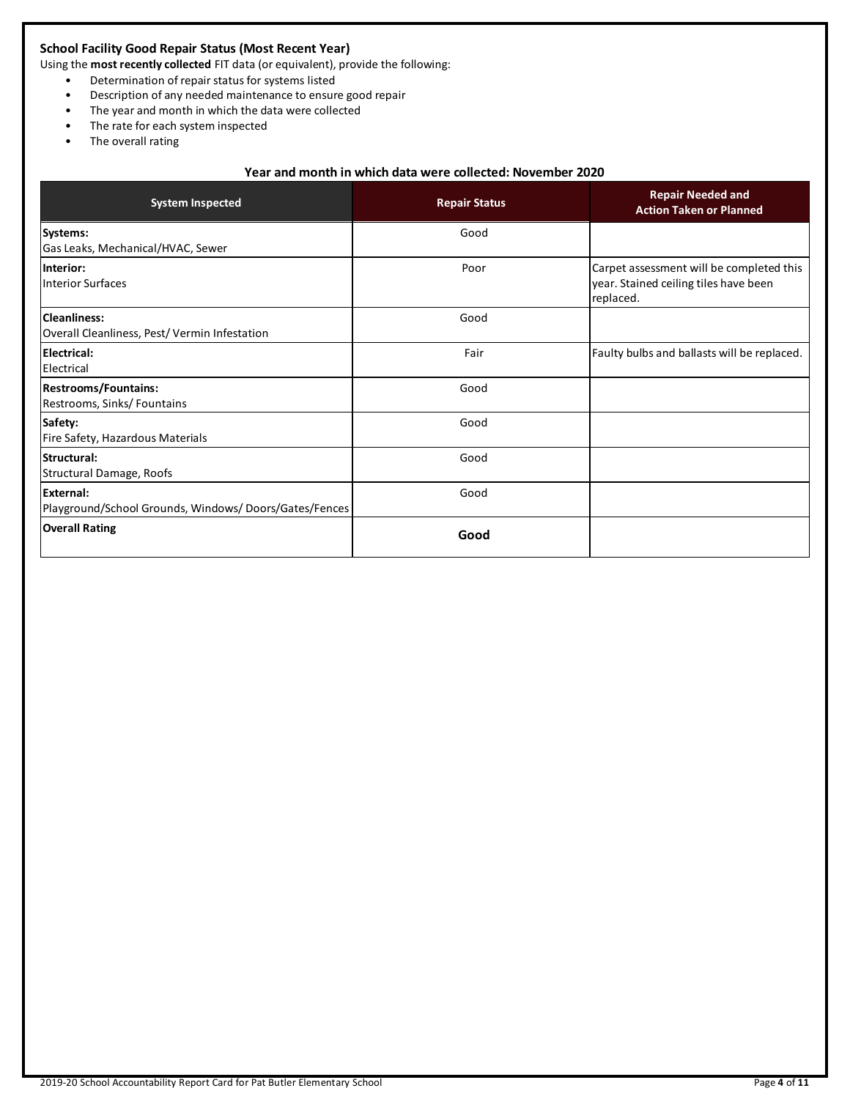# **School Facility Good Repair Status (Most Recent Year)**

Using the **most recently collected** FIT data (or equivalent), provide the following:

- Determination of repair status for systems listed
- Description of any needed maintenance to ensure good repair
- The year and month in which the data were collected
- The rate for each system inspected
- The overall rating

# **Year and month in which data were collected: November 2020**

| <b>System Inspected</b>                                             | <b>Repair Status</b> | <b>Repair Needed and</b><br><b>Action Taken or Planned</b>                                     |  |
|---------------------------------------------------------------------|----------------------|------------------------------------------------------------------------------------------------|--|
| Systems:<br>Gas Leaks, Mechanical/HVAC, Sewer                       | Good                 |                                                                                                |  |
| Interior:<br><b>Interior Surfaces</b>                               | Poor                 | Carpet assessment will be completed this<br>year. Stained ceiling tiles have been<br>replaced. |  |
| <b>Cleanliness:</b><br>Overall Cleanliness, Pest/Vermin Infestation | Good                 |                                                                                                |  |
| <b>Electrical:</b><br>Electrical                                    | Fair                 | Faulty bulbs and ballasts will be replaced.                                                    |  |
| <b>Restrooms/Fountains:</b><br>Restrooms, Sinks/Fountains           | Good                 |                                                                                                |  |
| Safety:<br>Fire Safety, Hazardous Materials                         | Good                 |                                                                                                |  |
| Structural:<br>Structural Damage, Roofs                             | Good                 |                                                                                                |  |
| External:<br>Playground/School Grounds, Windows/Doors/Gates/Fences  | Good                 |                                                                                                |  |
| <b>Overall Rating</b>                                               | Good                 |                                                                                                |  |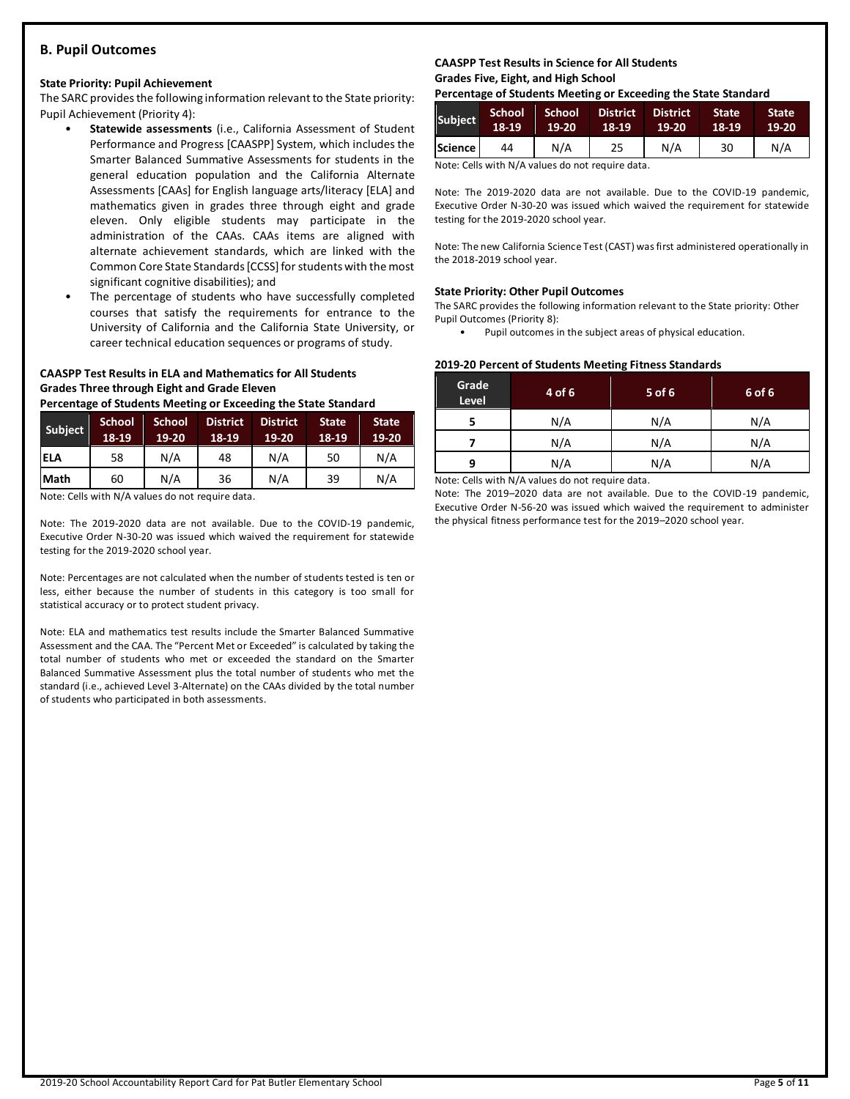# **B. Pupil Outcomes**

### **State Priority: Pupil Achievement**

The SARC provides the following information relevant to the State priority: Pupil Achievement (Priority 4):

- **Statewide assessments** (i.e., California Assessment of Student Performance and Progress [CAASPP] System, which includes the Smarter Balanced Summative Assessments for students in the general education population and the California Alternate Assessments [CAAs] for English language arts/literacy [ELA] and mathematics given in grades three through eight and grade eleven. Only eligible students may participate in the administration of the CAAs. CAAs items are aligned with alternate achievement standards, which are linked with the Common Core State Standards [CCSS] for students with the most significant cognitive disabilities); and
- The percentage of students who have successfully completed courses that satisfy the requirements for entrance to the University of California and the California State University, or career technical education sequences or programs of study.

# **CAASPP Test Results in ELA and Mathematics for All Students Grades Three through Eight and Grade Eleven**

**Percentage of Students Meeting or Exceeding the State Standard**

| Subject     | <b>School</b><br>18-19 | <b>School</b><br>19-20 | <b>District</b><br>18-19 | <b>District</b><br>19-20 | <b>State</b><br>18-19 | <b>State</b><br>19-20 |
|-------------|------------------------|------------------------|--------------------------|--------------------------|-----------------------|-----------------------|
| <b>ELA</b>  | 58                     | N/A                    | 48                       | N/A                      | 50                    | N/A                   |
| <b>Math</b> | 60                     | N/A                    | 36                       | N/A                      | 39                    | N/A                   |

Note: Cells with N/A values do not require data.

Note: The 2019-2020 data are not available. Due to the COVID-19 pandemic, Executive Order N-30-20 was issued which waived the requirement for statewide testing for the 2019-2020 school year.

Note: Percentages are not calculated when the number of students tested is ten or less, either because the number of students in this category is too small for statistical accuracy or to protect student privacy.

Note: ELA and mathematics test results include the Smarter Balanced Summative Assessment and the CAA. The "Percent Met or Exceeded" is calculated by taking the total number of students who met or exceeded the standard on the Smarter Balanced Summative Assessment plus the total number of students who met the standard (i.e., achieved Level 3-Alternate) on the CAAs divided by the total number of students who participated in both assessments.

### **CAASPP Test Results in Science for All Students Grades Five, Eight, and High School**

**Percentage of Students Meeting or Exceeding the State Standard**

| <b>Subject</b> | School<br>18-19 | School<br>$19-20$ | <b>District</b><br>18-19 | <b>District</b><br>19-20 | <b>State</b><br>18-19 | <b>State</b><br>$19-20$ |
|----------------|-----------------|-------------------|--------------------------|--------------------------|-----------------------|-------------------------|
| <b>Science</b> | 44              | N/A               | 25                       | N/A                      | 30                    | N/A                     |

Note: Cells with N/A values do not require data.

Note: The 2019-2020 data are not available. Due to the COVID-19 pandemic, Executive Order N-30-20 was issued which waived the requirement for statewide testing for the 2019-2020 school year.

Note: The new California Science Test (CAST) was first administered operationally in the 2018-2019 school year.

### **State Priority: Other Pupil Outcomes**

The SARC provides the following information relevant to the State priority: Other Pupil Outcomes (Priority 8):

Pupil outcomes in the subject areas of physical education.

### **2019-20 Percent of Students Meeting Fitness Standards**

| Grade<br>Level | 4 of 6 | 5 of 6 | 6 of 6 |
|----------------|--------|--------|--------|
|                | N/A    | N/A    | N/A    |
|                | N/A    | N/A    | N/A    |
| q              | N/A    | N/A    | N/A    |

Note: Cells with N/A values do not require data.

Note: The 2019–2020 data are not available. Due to the COVID-19 pandemic, Executive Order N-56-20 was issued which waived the requirement to administer the physical fitness performance test for the 2019–2020 school year.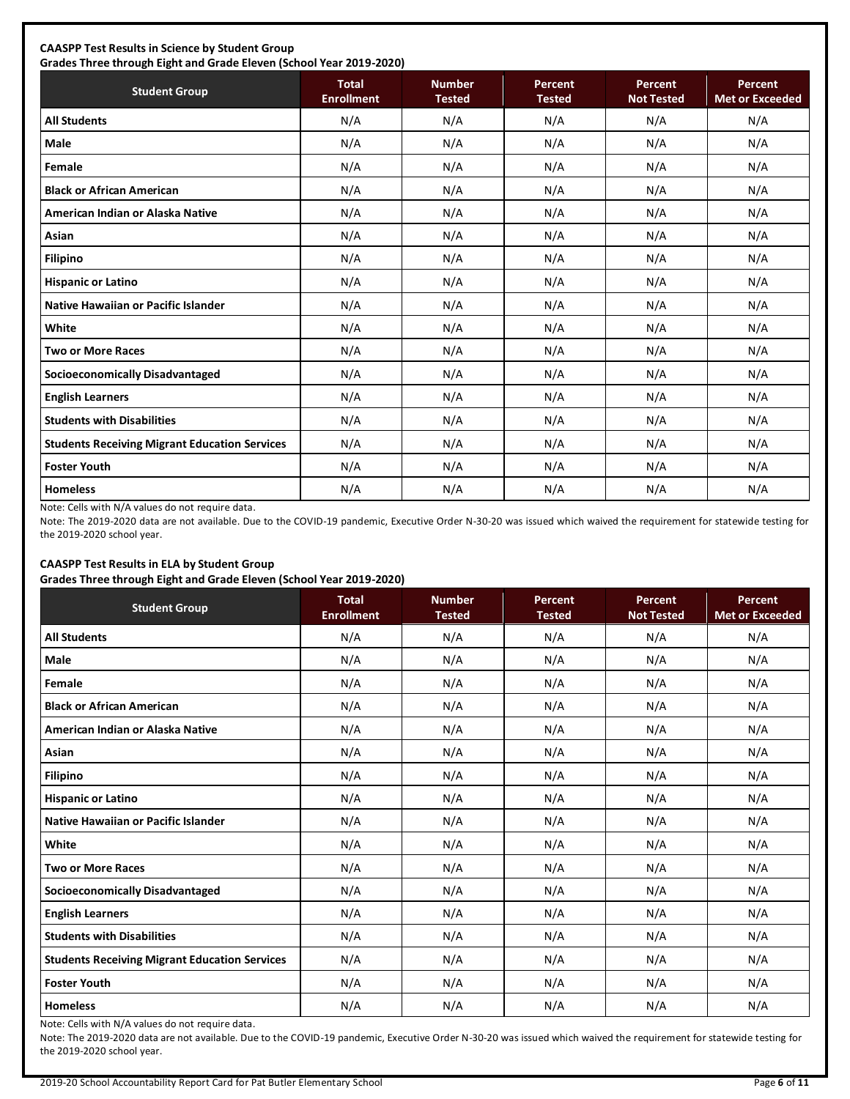# **CAASPP Test Results in Science by Student Group**

**Grades Three through Eight and Grade Eleven (School Year 2019-2020) Student Group Total Total Enrollment Number Tested Percent Tested Percent Not Tested Percent Met or Exceeded All Students** N/A N/A N/A N/A N/A **Male** N/A N/A N/A N/A N/A **Female** N/A N/A N/A N/A N/A **Black or African American** N/A N/A N/A N/A N/A **American Indian or Alaska Native** N/A N/A N/A N/A N/A **Asian** N/A N/A N/A N/A N/A **Filipino** N/A N/A N/A N/A N/A **Hispanic or Latino N/A N/A N/A N/A** N/A **Native Hawaiian or Pacific Islander**  $\begin{vmatrix} N/A & N/A & N/A & N/A \end{vmatrix}$  N/A N/A N/A N/A **White** N/A N/A N/A N/A N/A **Two or More Races** N/A N/A N/A N/A N/A **Socioeconomically Disadvantaged** N/A N/A N/A N/A N/A **English Learners** N/A N/A N/A N/A N/A **Students with Disabilities** N/A N/A N/A N/A N/A **Students Receiving Migrant Education Services | N/A | N/A | N/A | N/A | N/A | N/A Foster Youth** N/A N/A N/A N/A N/A **Homeless** N/A N/A N/A N/A N/A

Note: Cells with N/A values do not require data.

Note: The 2019-2020 data are not available. Due to the COVID-19 pandemic, Executive Order N-30-20 was issued which waived the requirement for statewide testing for the 2019-2020 school year.

# **CAASPP Test Results in ELA by Student Group**

**Grades Three through Eight and Grade Eleven (School Year 2019-2020)**

| <b>Student Group</b>                                 | <b>Total</b><br><b>Enrollment</b> | <b>Number</b><br><b>Tested</b> | Percent<br><b>Tested</b> | Percent<br><b>Not Tested</b> | Percent<br><b>Met or Exceeded</b> |
|------------------------------------------------------|-----------------------------------|--------------------------------|--------------------------|------------------------------|-----------------------------------|
| <b>All Students</b>                                  | N/A                               | N/A                            | N/A                      | N/A                          | N/A                               |
| <b>Male</b>                                          | N/A                               | N/A                            | N/A                      | N/A                          | N/A                               |
| Female                                               | N/A                               | N/A                            | N/A                      | N/A                          | N/A                               |
| <b>Black or African American</b>                     | N/A                               | N/A                            | N/A                      | N/A                          | N/A                               |
| American Indian or Alaska Native                     | N/A                               | N/A                            | N/A                      | N/A                          | N/A                               |
| Asian                                                | N/A                               | N/A                            | N/A                      | N/A                          | N/A                               |
| <b>Filipino</b>                                      | N/A                               | N/A                            | N/A                      | N/A                          | N/A                               |
| <b>Hispanic or Latino</b>                            | N/A                               | N/A                            | N/A                      | N/A                          | N/A                               |
| Native Hawaiian or Pacific Islander                  | N/A                               | N/A                            | N/A                      | N/A                          | N/A                               |
| White                                                | N/A                               | N/A                            | N/A                      | N/A                          | N/A                               |
| <b>Two or More Races</b>                             | N/A                               | N/A                            | N/A                      | N/A                          | N/A                               |
| <b>Socioeconomically Disadvantaged</b>               | N/A                               | N/A                            | N/A                      | N/A                          | N/A                               |
| <b>English Learners</b>                              | N/A                               | N/A                            | N/A                      | N/A                          | N/A                               |
| <b>Students with Disabilities</b>                    | N/A                               | N/A                            | N/A                      | N/A                          | N/A                               |
| <b>Students Receiving Migrant Education Services</b> | N/A                               | N/A                            | N/A                      | N/A                          | N/A                               |
| <b>Foster Youth</b>                                  | N/A                               | N/A                            | N/A                      | N/A                          | N/A                               |
| <b>Homeless</b>                                      | N/A                               | N/A                            | N/A                      | N/A                          | N/A                               |

Note: Cells with N/A values do not require data.

Note: The 2019-2020 data are not available. Due to the COVID-19 pandemic, Executive Order N-30-20 was issued which waived the requirement for statewide testing for the 2019-2020 school year.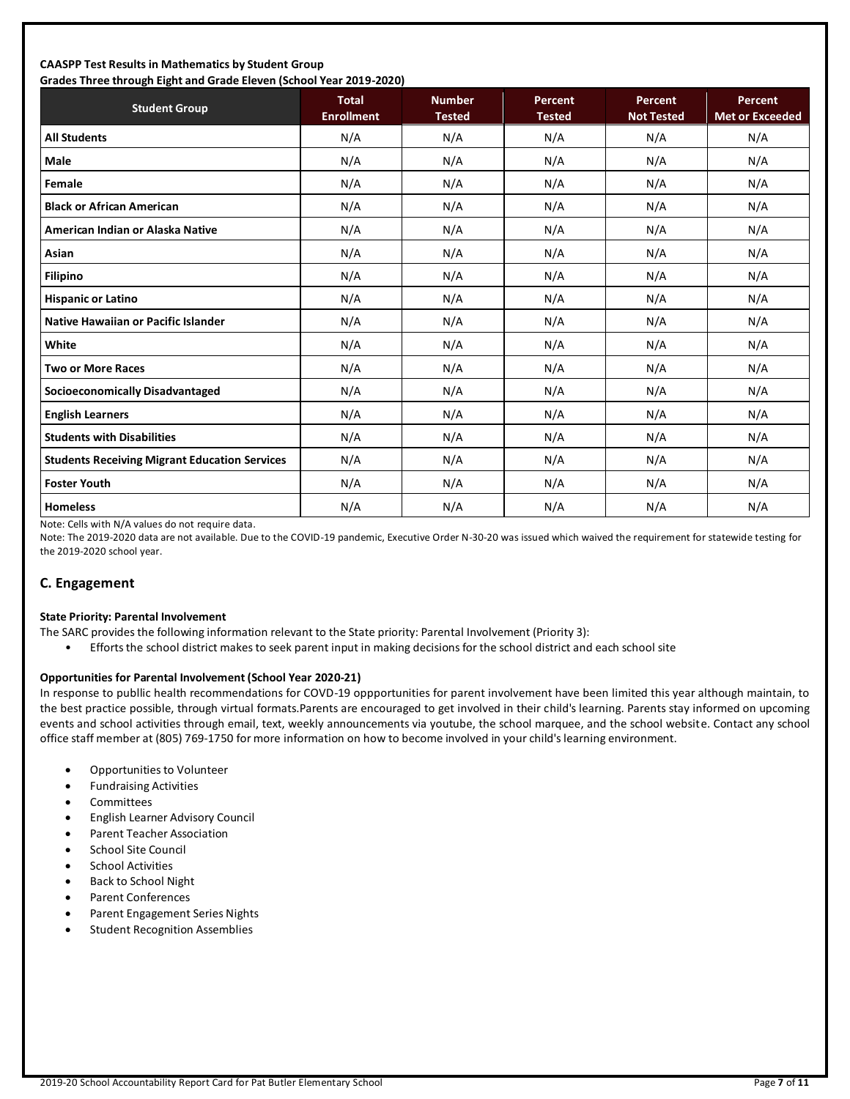### **CAASPP Test Results in Mathematics by Student Group Grades Three through Eight and Grade Eleven (School Year 2019-2020)**

| Grades Timee through Eight and Grade Eleven (School Tear 2019-2020)<br><b>Student Group</b> | <b>Total</b><br><b>Enrollment</b> | <b>Number</b><br><b>Tested</b> | Percent<br><b>Tested</b> | Percent<br><b>Not Tested</b> | Percent<br><b>Met or Exceeded</b> |
|---------------------------------------------------------------------------------------------|-----------------------------------|--------------------------------|--------------------------|------------------------------|-----------------------------------|
| <b>All Students</b>                                                                         | N/A                               | N/A                            | N/A                      | N/A                          | N/A                               |
| <b>Male</b>                                                                                 | N/A                               | N/A                            | N/A                      | N/A                          | N/A                               |
| Female                                                                                      | N/A                               | N/A                            | N/A                      | N/A                          | N/A                               |
| <b>Black or African American</b>                                                            | N/A                               | N/A                            | N/A                      | N/A                          | N/A                               |
| American Indian or Alaska Native                                                            | N/A                               | N/A                            | N/A                      | N/A                          | N/A                               |
| Asian                                                                                       | N/A                               | N/A                            | N/A                      | N/A                          | N/A                               |
| <b>Filipino</b>                                                                             | N/A                               | N/A                            | N/A                      | N/A                          | N/A                               |
| <b>Hispanic or Latino</b>                                                                   | N/A                               | N/A                            | N/A                      | N/A                          | N/A                               |
| Native Hawaiian or Pacific Islander                                                         | N/A                               | N/A                            | N/A                      | N/A                          | N/A                               |
| White                                                                                       | N/A                               | N/A                            | N/A                      | N/A                          | N/A                               |
| <b>Two or More Races</b>                                                                    | N/A                               | N/A                            | N/A                      | N/A                          | N/A                               |
| <b>Socioeconomically Disadvantaged</b>                                                      | N/A                               | N/A                            | N/A                      | N/A                          | N/A                               |
| <b>English Learners</b>                                                                     | N/A                               | N/A                            | N/A                      | N/A                          | N/A                               |
| <b>Students with Disabilities</b>                                                           | N/A                               | N/A                            | N/A                      | N/A                          | N/A                               |
| <b>Students Receiving Migrant Education Services</b>                                        | N/A                               | N/A                            | N/A                      | N/A                          | N/A                               |
| <b>Foster Youth</b>                                                                         | N/A                               | N/A                            | N/A                      | N/A                          | N/A                               |
| <b>Homeless</b>                                                                             | N/A                               | N/A                            | N/A                      | N/A                          | N/A                               |

Note: Cells with N/A values do not require data.

Note: The 2019-2020 data are not available. Due to the COVID-19 pandemic, Executive Order N-30-20 was issued which waived the requirement for statewide testing for the 2019-2020 school year.

# **C. Engagement**

### **State Priority: Parental Involvement**

- The SARC provides the following information relevant to the State priority: Parental Involvement (Priority 3):
	- Efforts the school district makes to seek parent input in making decisions for the school district and each school site

### **Opportunities for Parental Involvement (School Year 2020-21)**

In response to publlic health recommendations for COVD-19 oppportunities for parent involvement have been limited this year although maintain, to the best practice possible, through virtual formats.Parents are encouraged to get involved in their child's learning. Parents stay informed on upcoming events and school activities through email, text, weekly announcements via youtube, the school marquee, and the school website. Contact any school office staff member at (805) 769-1750 for more information on how to become involved in your child's learning environment.

- Opportunities to Volunteer
- Fundraising Activities
- **Committees**
- English Learner Advisory Council
- Parent Teacher Association
- School Site Council
- School Activities
- Back to School Night
- Parent Conferences
- Parent Engagement Series Nights
- Student Recognition Assemblies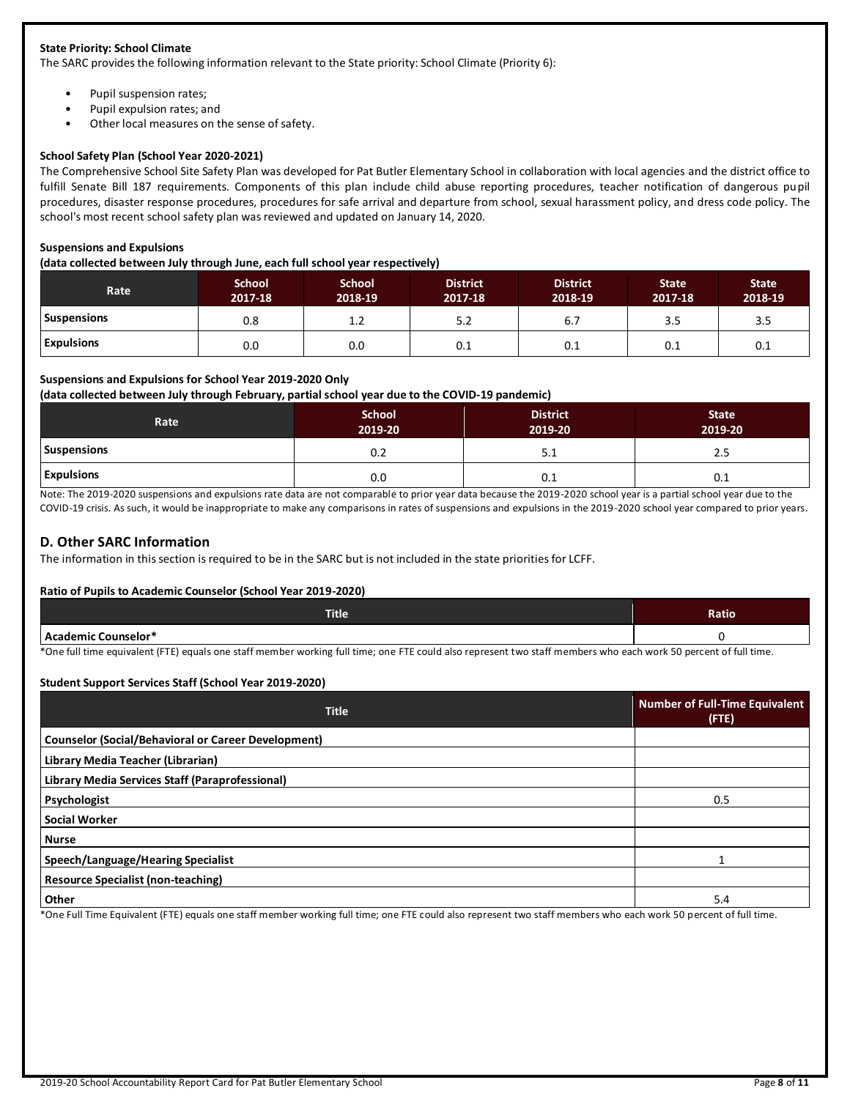### **State Priority: School Climate**

The SARC provides the following information relevant to the State priority: School Climate (Priority 6):

- Pupil suspension rates;
- Pupil expulsion rates; and
- Other local measures on the sense of safety.

### **School Safety Plan (School Year 2020-2021)**

The Comprehensive School Site Safety Plan was developed for Pat Butler Elementary School in collaboration with local agencies and the district office to fulfill Senate Bill 187 requirements. Components of this plan include child abuse reporting procedures, teacher notification of dangerous pupil procedures, disaster response procedures, procedures for safe arrival and departure from school, sexual harassment policy, and dress code policy. The school's most recent school safety plan was reviewed and updated on January 14, 2020.

### **Suspensions and Expulsions**

**(data collected between July through June, each full school year respectively)**

| Rate               | <b>School</b><br>2017-18 | <b>School</b><br>2018-19 | <b>District</b><br>2017-18 | <b>District</b><br>2018-19 | <b>State</b><br>2017-18 | <b>State</b><br>2018-19 |
|--------------------|--------------------------|--------------------------|----------------------------|----------------------------|-------------------------|-------------------------|
| <b>Suspensions</b> | 0.8                      | 1.2                      | 5.2                        | 6.7                        | 3.5                     | 3.5                     |
| <b>Expulsions</b>  | 0.0                      | 0.0                      | 0.1                        | 0.1                        | 0.1                     | 0.1                     |

### **Suspensions and Expulsions for School Year 2019-2020 Only**

**(data collected between July through February, partial school year due to the COVID-19 pandemic)**

| Rate              | <b>School</b><br>2019-20 | <b>District</b><br>2019-20 | <b>State</b><br>2019-20 |
|-------------------|--------------------------|----------------------------|-------------------------|
| Suspensions       | 0.2                      | 5.1                        | 2.5                     |
| <b>Expulsions</b> | 0.0                      | 0.1                        | 0.1                     |

Note: The 2019-2020 suspensions and expulsions rate data are not comparable to prior year data because the 2019-2020 school year is a partial school year due to the COVID-19 crisis. As such, it would be inappropriate to make any comparisons in rates of suspensions and expulsions in the 2019-2020 school year compared to prior years.

# **D. Other SARC Information**

The information in this section is required to be in the SARC but is not included in the state priorities for LCFF.

### **Ratio of Pupils to Academic Counselor (School Year 2019-2020)**

| <b>Title</b>        | Ratio |
|---------------------|-------|
| Academic Counselor* |       |

\*One full time equivalent (FTE) equals one staff member working full time; one FTE could also represent two staff members who each work 50 percent of full time.

### **Student Support Services Staff (School Year 2019-2020)**

| <b>Title</b>                                               | <b>Number of Full-Time Equivalent</b><br>$($ FTE $)$ |
|------------------------------------------------------------|------------------------------------------------------|
| <b>Counselor (Social/Behavioral or Career Development)</b> |                                                      |
| Library Media Teacher (Librarian)                          |                                                      |
| Library Media Services Staff (Paraprofessional)            |                                                      |
| Psychologist                                               | 0.5                                                  |
| <b>Social Worker</b>                                       |                                                      |
| <b>Nurse</b>                                               |                                                      |
| Speech/Language/Hearing Specialist                         |                                                      |
| <b>Resource Specialist (non-teaching)</b>                  |                                                      |
| Other                                                      | 5.4                                                  |

\*One Full Time Equivalent (FTE) equals one staff member working full time; one FTE could also represent two staff members who each work 50 percent of full time.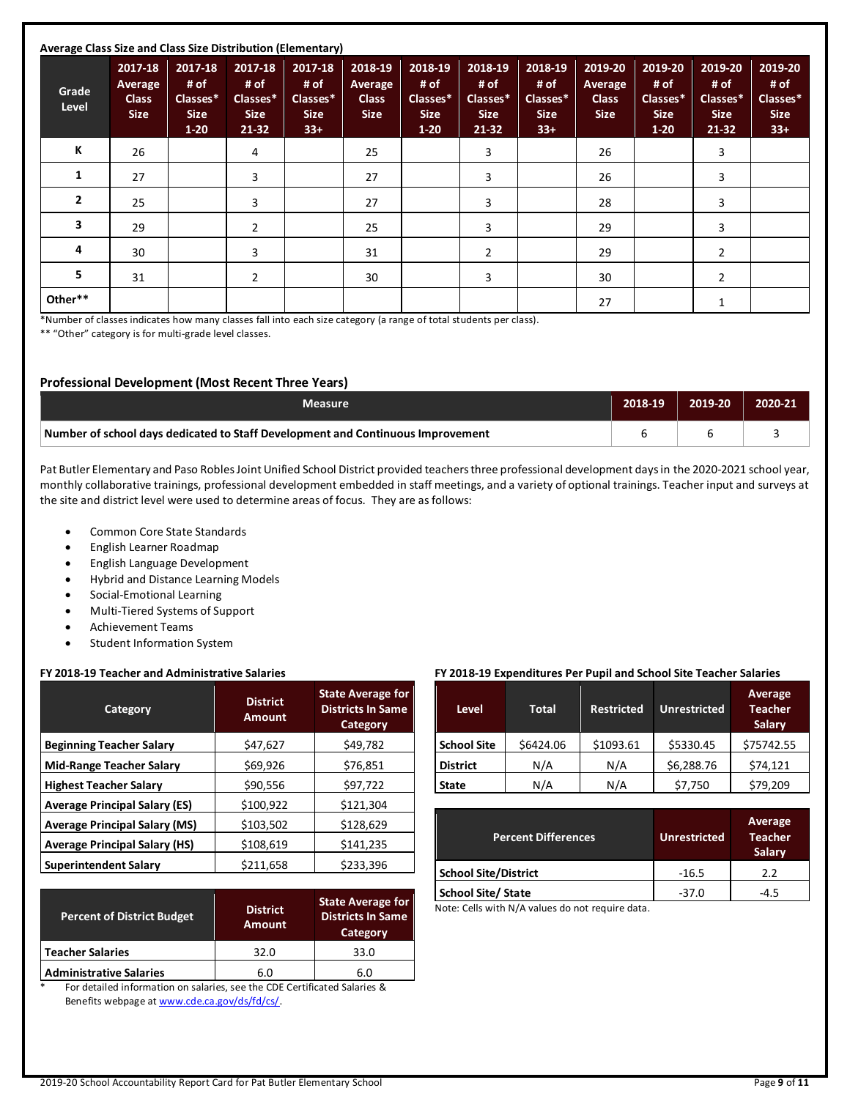| Average Class Size and Class Size Distribution (Elementary) |                                                   |                                                        |                                                       |                                                     |                                                   |                                                      |                                                       |                                                     |                                                   |                                                      |                                                       |                                                     |
|-------------------------------------------------------------|---------------------------------------------------|--------------------------------------------------------|-------------------------------------------------------|-----------------------------------------------------|---------------------------------------------------|------------------------------------------------------|-------------------------------------------------------|-----------------------------------------------------|---------------------------------------------------|------------------------------------------------------|-------------------------------------------------------|-----------------------------------------------------|
| Grade<br>Level                                              | 2017-18<br>Average<br><b>Class</b><br><b>Size</b> | 2017-18<br># of<br>Classes*<br><b>Size</b><br>$1 - 20$ | 2017-18<br># of<br>Classes*<br><b>Size</b><br>$21-32$ | 2017-18<br># of<br>Classes*<br><b>Size</b><br>$33+$ | 2018-19<br>Average<br><b>Class</b><br><b>Size</b> | 2018-19<br># of<br>Classes*<br><b>Size</b><br>$1-20$ | 2018-19<br># of<br>Classes*<br><b>Size</b><br>$21-32$ | 2018-19<br># of<br>Classes*<br><b>Size</b><br>$33+$ | 2019-20<br>Average<br><b>Class</b><br><b>Size</b> | 2019-20<br># of<br>Classes*<br><b>Size</b><br>$1-20$ | 2019-20<br># of<br>Classes*<br><b>Size</b><br>$21-32$ | 2019-20<br># of<br>Classes*<br><b>Size</b><br>$33+$ |
| К                                                           | 26                                                |                                                        | 4                                                     |                                                     | 25                                                |                                                      | 3                                                     |                                                     | 26                                                |                                                      | 3                                                     |                                                     |
| 1                                                           | 27                                                |                                                        | 3                                                     |                                                     | 27                                                |                                                      | 3                                                     |                                                     | 26                                                |                                                      | 3                                                     |                                                     |
| $\overline{2}$                                              | 25                                                |                                                        | 3                                                     |                                                     | 27                                                |                                                      | 3                                                     |                                                     | 28                                                |                                                      | 3                                                     |                                                     |
| 3                                                           | 29                                                |                                                        | 2                                                     |                                                     | 25                                                |                                                      | 3                                                     |                                                     | 29                                                |                                                      | 3                                                     |                                                     |
| 4                                                           | 30                                                |                                                        | 3                                                     |                                                     | 31                                                |                                                      | $\overline{2}$                                        |                                                     | 29                                                |                                                      | 2                                                     |                                                     |
| 5                                                           | 31                                                |                                                        | $\overline{2}$                                        |                                                     | 30                                                |                                                      | 3                                                     |                                                     | 30                                                |                                                      | $\overline{2}$                                        |                                                     |
| Other**                                                     |                                                   |                                                        |                                                       |                                                     |                                                   |                                                      |                                                       |                                                     | 27                                                |                                                      |                                                       |                                                     |

\*Number of classes indicates how many classes fall into each size category (a range of total students per class).

\*\* "Other" category is for multi-grade level classes.

### **Professional Development (Most Recent Three Years)**

| <b>Measure</b>                                                                  | 2018-19 | 2019-20 | 2020-21 |
|---------------------------------------------------------------------------------|---------|---------|---------|
| Number of school days dedicated to Staff Development and Continuous Improvement |         |         |         |

Pat Butler Elementary and Paso Robles Joint Unified School District provided teachers three professional development days in the 2020-2021 school year, monthly collaborative trainings, professional development embedded in staff meetings, and a variety of optional trainings. Teacher input and surveys at the site and district level were used to determine areas of focus. They are as follows:

- Common Core State Standards
- English Learner Roadmap
- English Language Development
- Hybrid and Distance Learning Models
- Social-Emotional Learning
- Multi-Tiered Systems of Support
- Achievement Teams
- Student Information System

### **FY 2018-19 Teacher and Administrative Salaries**

| Category                             | <b>District</b><br><b>Amount</b> | <b>State Average for</b><br><b>Districts In Same</b><br><b>Category</b> |
|--------------------------------------|----------------------------------|-------------------------------------------------------------------------|
| <b>Beginning Teacher Salary</b>      | \$47,627                         | \$49,782                                                                |
| <b>Mid-Range Teacher Salary</b>      | \$69,926                         | \$76,851                                                                |
| <b>Highest Teacher Salary</b>        | \$90,556                         | \$97,722                                                                |
| <b>Average Principal Salary (ES)</b> | \$100,922                        | \$121,304                                                               |
| <b>Average Principal Salary (MS)</b> | \$103,502                        | \$128,629                                                               |
| <b>Average Principal Salary (HS)</b> | \$108,619                        | \$141,235                                                               |
| <b>Superintendent Salary</b>         | \$211,658                        | \$233,396                                                               |

| <b>Percent of District Budget</b> | <b>District</b><br><b>Amount</b> | <b>State Average for</b><br><b>Districts In Same</b><br>Category |
|-----------------------------------|----------------------------------|------------------------------------------------------------------|
| <b>Teacher Salaries</b>           | 32.0                             | 33.0                                                             |
| <b>Administrative Salaries</b>    | 6.0                              | 6.0                                                              |

For detailed information on salaries, see the CDE Certificated Salaries & Benefits webpage at [www.cde.ca.gov/ds/fd/cs/.](http://www.cde.ca.gov/ds/fd/cs/)

### **FY 2018-19 Expenditures Per Pupil and School Site Teacher Salaries**

| <b>Level</b>       | <b>Total</b> | <b>Restricted</b> | <b>Unrestricted</b> | Average<br><b>Teacher</b><br><b>Salary</b> |
|--------------------|--------------|-------------------|---------------------|--------------------------------------------|
| <b>School Site</b> | \$6424.06    | \$1093.61         | \$5330.45           | \$75742.55                                 |
| <b>District</b>    | N/A          | N/A               | \$6,288.76          | \$74,121                                   |
| <b>State</b>       | N/A          | N/A               | \$7,750             | \$79,209                                   |

| <b>Percent Differences</b>  | <b>Unrestricted</b> | <b>Average</b><br><b>Teacher</b><br>Salary |
|-----------------------------|---------------------|--------------------------------------------|
| <b>School Site/District</b> | $-16.5$             | 22                                         |
| <b>School Site/ State</b>   | $-37.0$             | $-4.5$                                     |

Note: Cells with N/A values do not require data.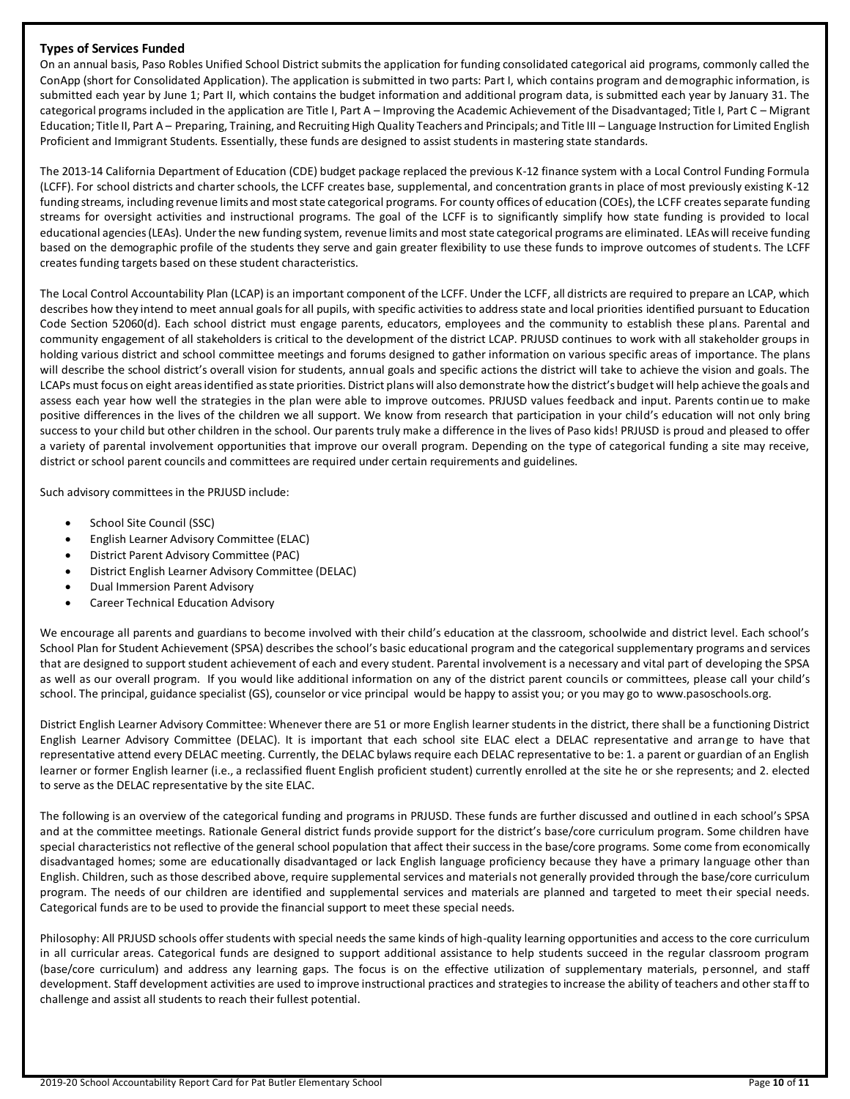### **Types of Services Funded**

On an annual basis, Paso Robles Unified School District submits the application for funding consolidated categorical aid programs, commonly called the ConApp (short for Consolidated Application). The application is submitted in two parts: Part I, which contains program and demographic information, is submitted each year by June 1; Part II, which contains the budget information and additional program data, is submitted each year by January 31. The categorical programs included in the application are Title I, Part A – Improving the Academic Achievement of the Disadvantaged; Title I, Part C – Migrant Education; Title II, Part A – Preparing, Training, and Recruiting High Quality Teachers and Principals; and Title III – Language Instruction for Limited English Proficient and Immigrant Students. Essentially, these funds are designed to assist students in mastering state standards.

The 2013-14 California Department of Education (CDE) budget package replaced the previous K-12 finance system with a Local Control Funding Formula (LCFF). For school districts and charter schools, the LCFF creates base, supplemental, and concentration grants in place of most previously existing K-12 funding streams, including revenue limits and most state categorical programs. For county offices of education (COEs), the LCFF creates separate funding streams for oversight activities and instructional programs. The goal of the LCFF is to significantly simplify how state funding is provided to local educational agencies (LEAs). Under the new funding system, revenue limits and most state categorical programs are eliminated. LEAs will receive funding based on the demographic profile of the students they serve and gain greater flexibility to use these funds to improve outcomes of students. The LCFF creates funding targets based on these student characteristics.

The Local Control Accountability Plan (LCAP) is an important component of the LCFF. Under the LCFF, all districts are required to prepare an LCAP, which describes how they intend to meet annual goals for all pupils, with specific activities to address state and local priorities identified pursuant to Education Code Section 52060(d). Each school district must engage parents, educators, employees and the community to establish these plans. Parental and community engagement of all stakeholders is critical to the development of the district LCAP. PRJUSD continues to work with all stakeholder groups in holding various district and school committee meetings and forums designed to gather information on various specific areas of importance. The plans will describe the school district's overall vision for students, annual goals and specific actions the district will take to achieve the vision and goals. The LCAPs must focus on eight areas identified as state priorities. District plans will also demonstrate how the district's budget will help achieve the goals and assess each year how well the strategies in the plan were able to improve outcomes. PRJUSD values feedback and input. Parents continue to make positive differences in the lives of the children we all support. We know from research that participation in your child's education will not only bring success to your child but other children in the school. Our parents truly make a difference in the lives of Paso kids! PRJUSD is proud and pleased to offer a variety of parental involvement opportunities that improve our overall program. Depending on the type of categorical funding a site may receive, district or school parent councils and committees are required under certain requirements and guidelines.

Such advisory committees in the PRJUSD include:

- School Site Council (SSC)
- English Learner Advisory Committee (ELAC)
- District Parent Advisory Committee (PAC)
- District English Learner Advisory Committee (DELAC)
- Dual Immersion Parent Advisory
- Career Technical Education Advisory

We encourage all parents and guardians to become involved with their child's education at the classroom, schoolwide and district level. Each school's School Plan for Student Achievement (SPSA) describes the school's basic educational program and the categorical supplementary programs and services that are designed to support student achievement of each and every student. Parental involvement is a necessary and vital part of developing the SPSA as well as our overall program. If you would like additional information on any of the district parent councils or committees, please call your child's school. The principal, guidance specialist (GS), counselor or vice principal would be happy to assist you; or you may go to www.pasoschools.org.

District English Learner Advisory Committee: Whenever there are 51 or more English learner students in the district, there shall be a functioning District English Learner Advisory Committee (DELAC). It is important that each school site ELAC elect a DELAC representative and arrange to have that representative attend every DELAC meeting. Currently, the DELAC bylaws require each DELAC representative to be: 1. a parent or guardian of an English learner or former English learner (i.e., a reclassified fluent English proficient student) currently enrolled at the site he or she represents; and 2. elected to serve as the DELAC representative by the site ELAC.

The following is an overview of the categorical funding and programs in PRJUSD. These funds are further discussed and outlined in each school's SPSA and at the committee meetings. Rationale General district funds provide support for the district's base/core curriculum program. Some children have special characteristics not reflective of the general school population that affect their success in the base/core programs. Some come from economically disadvantaged homes; some are educationally disadvantaged or lack English language proficiency because they have a primary language other than English. Children, such as those described above, require supplemental services and materials not generally provided through the base/core curriculum program. The needs of our children are identified and supplemental services and materials are planned and targeted to meet their special needs. Categorical funds are to be used to provide the financial support to meet these special needs.

Philosophy: All PRJUSD schools offer students with special needs the same kinds of high-quality learning opportunities and access to the core curriculum in all curricular areas. Categorical funds are designed to support additional assistance to help students succeed in the regular classroom program (base/core curriculum) and address any learning gaps. The focus is on the effective utilization of supplementary materials, personnel, and staff development. Staff development activities are used to improve instructional practices and strategies to increase the ability of teachers and other staff to challenge and assist all students to reach their fullest potential.